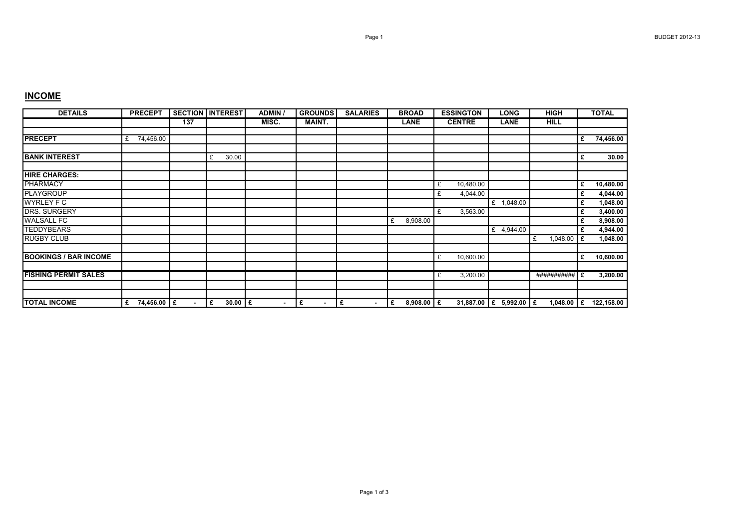## **INCOME**

| <b>DETAILS</b>               | <b>PRECEPT</b>   |                | <b>SECTION INTEREST</b> | <b>ADMIN</b>   | <b>GROUNDS</b>      | <b>SALARIES</b>     | <b>BROAD</b>      | <b>ESSINGTON</b> | <b>LONG</b>            | <b>HIGH</b>   |   | <b>TOTAL</b> |
|------------------------------|------------------|----------------|-------------------------|----------------|---------------------|---------------------|-------------------|------------------|------------------------|---------------|---|--------------|
|                              |                  | 137            |                         | MISC.          | <b>MAINT.</b>       |                     | <b>LANE</b>       | <b>CENTRE</b>    | LANE                   | <b>HILL</b>   |   |              |
| <b>PRECEPT</b>               | 74,456.00<br>£   |                |                         |                |                     |                     |                   |                  |                        |               | £ | 74,456.00    |
| <b>BANK INTEREST</b>         |                  |                | 30.00<br>£              |                |                     |                     |                   |                  |                        |               | £ | 30.00        |
| <b>HIRE CHARGES:</b>         |                  |                |                         |                |                     |                     |                   |                  |                        |               |   |              |
| <b>PHARMACY</b>              |                  |                |                         |                |                     |                     |                   | 10,480.00<br>£   |                        |               | £ | 10,480.00    |
| <b>PLAYGROUP</b>             |                  |                |                         |                |                     |                     |                   | 4,044.00<br>£    |                        |               | £ | 4,044.00     |
| <b>WYRLEY F C</b>            |                  |                |                         |                |                     |                     |                   |                  | £ 1,048.00             |               | £ | 1,048.00     |
| <b>DRS. SURGERY</b>          |                  |                |                         |                |                     |                     |                   | 3,563.00<br>£    |                        |               | £ | 3,400.00     |
| <b>WALSALL FC</b>            |                  |                |                         |                |                     |                     | 8,908.00<br>£     |                  |                        |               | £ | 8,908.00     |
| <b>TEDDYBEARS</b>            |                  |                |                         |                |                     |                     |                   |                  | £ 4,944.00             |               | £ | 4,944.00     |
| <b>RUGBY CLUB</b>            |                  |                |                         |                |                     |                     |                   |                  |                        | 1,048.00<br>£ | £ | 1,048.00     |
| <b>BOOKINGS / BAR INCOME</b> |                  |                |                         |                |                     |                     |                   | 10,600.00<br>£   |                        |               | £ | 10,600.00    |
| <b>FISHING PERMIT SALES</b>  |                  |                |                         |                |                     |                     |                   | 3,200.00<br>£    |                        | ########### E |   | 3,200.00     |
|                              |                  |                |                         |                |                     |                     |                   |                  |                        |               |   |              |
| <b>TOTAL INCOME</b>          | 74,456.00 £<br>£ | $\blacksquare$ | $30.00$ E<br>£          | $\blacksquare$ | £<br>$\blacksquare$ | £<br>$\blacksquare$ | 8,908.00 $E$<br>£ |                  | 31,887.00 E 5,992.00 E | 1,048.00 $E$  |   | 122,158.00   |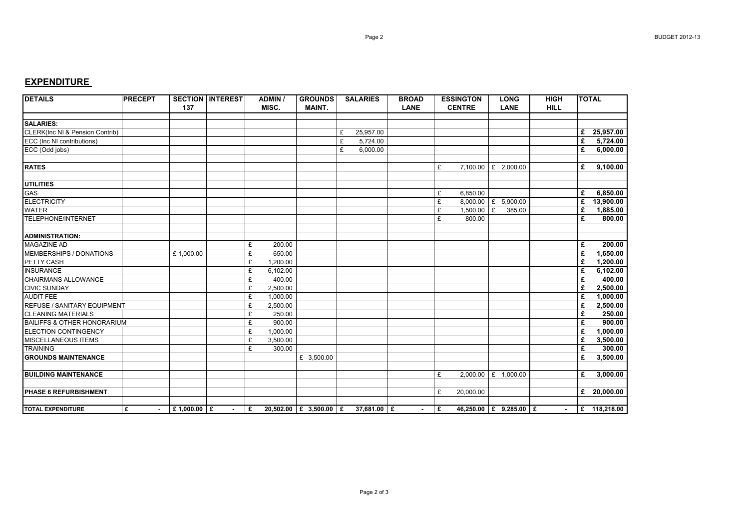## **EXPENDITURE**

| <b>DETAILS</b>                             | <b>PRECEPT</b> | 137         | <b>SECTION INTEREST</b> |              | <b>ADMIN /</b><br>MISC. | <b>GROUNDS</b><br><b>MAINT.</b> | <b>SALARIES</b>                            | <b>BROAD</b><br><b>LANE</b> |    | <b>ESSINGTON</b><br><b>CENTRE</b> | <b>HIGH</b><br><b>LONG</b><br><b>LANE</b><br><b>HILL</b> |  | <b>TOTAL</b> |                         |
|--------------------------------------------|----------------|-------------|-------------------------|--------------|-------------------------|---------------------------------|--------------------------------------------|-----------------------------|----|-----------------------------------|----------------------------------------------------------|--|--------------|-------------------------|
| <b>SALARIES:</b>                           |                |             |                         |              |                         |                                 |                                            |                             |    |                                   |                                                          |  |              |                         |
| <b>CLERK(Inc NI &amp; Pension Contrib)</b> |                |             |                         |              |                         |                                 | £<br>25,957.00                             |                             |    |                                   |                                                          |  |              | £ 25,957.00             |
| ECC (Inc NI contributions)                 |                |             |                         |              |                         |                                 | £<br>5,724.00                              |                             |    |                                   |                                                          |  | £            | 5,724.00                |
| ECC (Odd jobs)                             |                |             |                         |              |                         |                                 | £<br>6,000.00                              |                             |    |                                   |                                                          |  | £            | 6,000.00                |
|                                            |                |             |                         |              |                         |                                 |                                            |                             |    |                                   |                                                          |  |              |                         |
| <b>RATES</b>                               |                |             |                         |              |                         |                                 |                                            |                             | £  |                                   | 7,100.00 £ 2,000.00                                      |  | £            | 9,100.00                |
|                                            |                |             |                         |              |                         |                                 |                                            |                             |    |                                   |                                                          |  |              |                         |
| <b>UTILITIES</b>                           |                |             |                         |              |                         |                                 |                                            |                             |    |                                   |                                                          |  |              |                         |
| GAS                                        |                |             |                         |              |                         |                                 |                                            |                             | £  | 6,850.00                          |                                                          |  | £            | 6,850.00                |
| ELECTRICITY                                |                |             |                         |              |                         |                                 |                                            |                             | £  |                                   | 8,000.00 £ 5,900.00                                      |  | £            | 13,900.00               |
| <b>WATER</b>                               |                |             |                         |              |                         |                                 |                                            |                             | £  | 1,500.00                          | £<br>385.00                                              |  | £            | 1,885.00                |
| TELEPHONE/INTERNET                         |                |             |                         |              |                         |                                 |                                            |                             | £  | 800.00                            |                                                          |  | £            | 800.00                  |
|                                            |                |             |                         |              |                         |                                 |                                            |                             |    |                                   |                                                          |  |              |                         |
| <b>ADMINISTRATION:</b>                     |                |             |                         |              |                         |                                 |                                            |                             |    |                                   |                                                          |  |              |                         |
| <b>MAGAZINE AD</b>                         |                |             |                         | £            | 200.00                  |                                 |                                            |                             |    |                                   |                                                          |  | £            | 200.00                  |
| MEMBERSHIPS / DONATIONS                    |                | £1,000.00   |                         | £            | 650.00                  |                                 |                                            |                             |    |                                   |                                                          |  | £            | 1,650.00                |
| PETTY CASH                                 |                |             |                         | £            | 1.200.00                |                                 |                                            |                             |    |                                   |                                                          |  | £            | 1,200.00                |
| <b>INSURANCE</b>                           |                |             |                         | £            | 6,102.00                |                                 |                                            |                             |    |                                   |                                                          |  | £            | 6,102.00                |
| <b>CHAIRMANS ALLOWANCE</b>                 |                |             |                         | £            | 400.00                  |                                 |                                            |                             |    |                                   |                                                          |  | £            | 400.00                  |
| <b>CIVIC SUNDAY</b>                        |                |             |                         | £            | 2,500.00                |                                 |                                            |                             |    |                                   |                                                          |  | £            | 2,500.00                |
| <b>AUDIT FEE</b>                           |                |             |                         | £            | 1.000.00                |                                 |                                            |                             |    |                                   |                                                          |  | £            | 1,000.00                |
| <b>REFUSE / SANITARY EQUIPMENT</b>         |                |             |                         | £            | 2,500.00                |                                 |                                            |                             |    |                                   |                                                          |  | £            | 2,500.00                |
| <b>CLEANING MATERIALS</b>                  |                |             |                         | £            | 250.00                  |                                 |                                            |                             |    |                                   |                                                          |  | £            | 250.00                  |
| BAILIFFS & OTHER HONORARIUM                |                |             |                         | £            | 900.00                  |                                 |                                            |                             |    |                                   |                                                          |  | £            | 900.00                  |
| <b>ELECTION CONTINGENCY</b>                |                |             |                         | £            | 1.000.00                |                                 |                                            |                             |    |                                   |                                                          |  | £            | 1,000.00                |
| <b>MISCELLANEOUS ITEMS</b>                 |                |             |                         | £            | 3,500.00                |                                 |                                            |                             |    |                                   |                                                          |  | £            | 3,500.00                |
| <b>TRAINING</b>                            |                |             |                         | £            | 300.00                  |                                 |                                            |                             |    |                                   |                                                          |  | £            | 300.00                  |
| <b>GROUNDS MAINTENANCE</b>                 |                |             |                         |              |                         | £ 3,500.00                      |                                            |                             |    |                                   |                                                          |  | £            | 3,500.00                |
|                                            |                |             |                         |              |                         |                                 |                                            |                             |    |                                   |                                                          |  |              |                         |
| <b>BUILDING MAINTENANCE</b>                |                |             |                         |              |                         |                                 |                                            |                             | £  |                                   | 2,000.00 £ 1,000.00                                      |  | £            | 3,000.00                |
|                                            |                |             |                         |              |                         |                                 |                                            |                             |    |                                   |                                                          |  |              |                         |
| PHASE 6 REFURBISHMENT                      |                |             |                         |              |                         |                                 |                                            |                             | £  | 20,000.00                         |                                                          |  |              | £ $20,000.00$           |
| <b>TOTAL EXPENDITURE</b>                   | £              | £1,000.00 £ | $\sim$                  | $\mathbf{E}$ |                         |                                 | $20,502.00$ $E$ 3,500.00 $E$ 37,681.00 $E$ | $\sim$                      | Ι£ |                                   | 46,250.00   £ 9,285.00   £                               |  |              | $\mathsf{E}$ 118,218.00 |